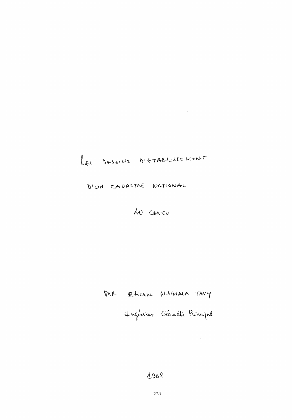## LES BESOINS D'ETABLISSEMENT

D'UN CADASTRE NATIONAL

 $\sim$ 

AU CONGO

RAR Etienne MABIALA TATY

Inginium Géomètie Principal

## $1902$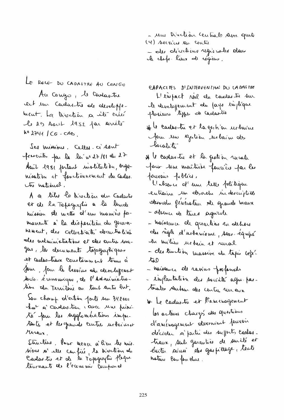- une Diretion Central save quato (4) services son center - des directions regionales dans
- A chefs-lieux de régions.
- LE ROLE DU CADASTRE AU CONGO

Au Congo, le Cadastre est un Cadastro de développement. La Direction a vitir créé le 20 Aout 1952 par arrêté  $h^0$  2741 /  $CG - CAB$ .

Ses missions. Celles. ci sont frencrites fou la loi n° 27/81 du 27 Aout 1981 fortant motilistion, organ nisation et fonctionnement du cadas. to national.

A a titre le désoction du Cordeste et de la Tepagraphie à la brude hussion de mettre d'une manière pamarente à la disposition du gouvehement, cles collectivités decentralisé eles evalurimistrations et des autres unagers, les documents togagespignes et cadashaux constannent tenus à Som, Jour le bessins du developement socro économique, de l'administretin du Territoire ou tout autre but.

Sou charup d'action porte sur 342000 kme a condostru care una priorito four les agglomérations importouts et les grands centres urbeinset ruraux.

Structure. Vour meuer à lieu les mis. sions s'elle confié, la divition du Cadaste et de la topographie fluque tournant de l'économie comprend

CAPACITES DI INTERVENTION DU LADASTRE Heighact neel du cardes tre sur le developement du fays impléque phericus lype a cadante

if le cades tu et la gestion urbaine Jem un Bestion urbain des bocalités

\* I cadas tre et la gration runale pour me maîtrise fauriers par les pouvous fublics. Mabsence of une telle folitique entraine un desordre indexcuptere Sesorshi feneratur xte quando mauri - absence de tives aguade - habitance de quartias en dehors des règles d'urbanisme, sous-équipé In miliu urbain et rural - des truction massive du tapés béféto - naissance de ravius profonds

- implantation des société agré-pastorals renten des centre runaire

It Le cadastre et lamenagement les acteurs chargé des questions d'aucunquement devraient pouvoir décider à partir des sufforts carles. train, senls garanties de sur île et electer averain des graspillage, toute hoture Bonfordue.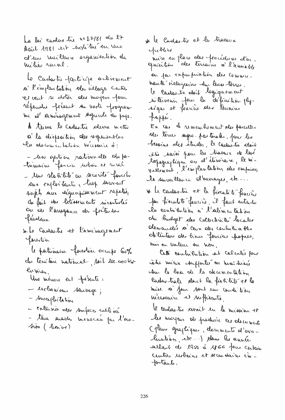La loi cadas tre nº 27/81 du 27 Acril 1981 est institué en vue d'une meilleure organisation du mihi ruel.

Le Cadrita participe activement or l'implantation cles villages centres et veut se dater des moyens jour réferance frésent son varte programme al raménagement sognicule du pays. A terme le cadastre plusia mettre a la disposition des responsables la documintatión hécessarie à:

- un gestion rationnale du fatrimaine foncia serboin et rural - two statibile ou securité funcion aux exploitants, trop souvent sujets aux déguapoiement repetis, du fait des bitrasements m'enturés On de l'arragance des frétendes feredaun

si Le Cadartre et l'améragement Josephia

le patrimoine furestier occupe 60% du territoire national, soit 100.000km Currian.

Une ménace est présente:

- lerbanisme sauvage;

- Surespluitation

- enternon des sonfaces calivés

- thus availes menaces for l'ero. Sion (lenioe)

He le Conclasitre et les travaien yubles

mise en place des procédures d'ac-<br>quisition des terrains so l'amiable ou par expropriation des communantes villageoires du lines-tèrres. le cadastre doit legiquement intervenir four la définition plussigne et fourière des terrains pappé.

En cas de remembrancat des parcelles des tères sages partonales. pour les besoins des études, le cadastre doit étir saisi pour les travair de leur topographique ou cl'iliveraire, le m'vellement, l'emplantation des empises, la surveillance d'ouvrages, etc...

\* Le cardes-tre et la fixacelàté fourisie par fréculeté foucière, il faut entendu le contribution à l'alimentation On bridget des Collectivités becales demandée s'ains des contribuables delinters des biens fonciers propres, hus en Valeur ou hon,

Cette contriention est calculée pour ceter méan comporter ou hiver trisé Au le bose de la documentation Cadas trale dont la fighibili et la mise sa four sont un court tion nécessaire et suffisante,

le cadastre avait un la mission et les moyens de produire les decurrents (plans graphiques, dominants d'evalustion, etc...) dans les années allant de 1950 à 1866 pour certain Centes reobains et secondaires in-Jortants.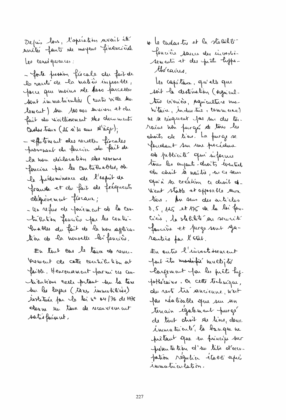Depuis loss, l'opération avait élé millée fant de moyens financières. Les comégueures:

- forte pression frécale du fait de la varité de la matière imposable, You are moins de tous journelles Sont immatriculées (cente ville sur lement) Am 100 000 environ et du fait du vieillissement des documents Cacher treux (de a'so ans  $d' \hat{a} q \nu$ );

- effitement also recette finales provenant du fourier du fait de la nou déclaration des revenus forcéeu par les contrienables, de le piblominance de l'esprit de france et du fait de fréquents Slégière ment flocaux;

- Un refus de fou'ement de la contrientien foucière par les contri-Probles de fait de la hon appècation de la nouvelle les fancières.

En tout cas le tour de reven-Yore went also cette contribution out faible. Herreusement farmi ess con-<br>hierbions ceels pritant son la taxe Sur les layers (tares immobilités) whether for le loi n° or /76 de 1976 shown in taux de recoverement satisfaissant.

\* Le condais tre et la stabilitér fencière sence des investions Sements et des prâls luffethé caires,

tes capitana, qu'elle que soit la destination (organicalture Girinière, préprienteme ma Witain , undus the , commerce) 'w. I~ rU~..-u~~ ~3 *AN .. A* dJ.J *£L"*  rains won furgés de tous les choits de lieus. La purge se feridant sur sur procédure de problècité qui informe tous les ayants-chroits éventuels du choit à noitre, en ce sens  $~$  pu'à so création ce droit **et.** Went stadte et opposable reun tiers. An suis des articles  $3.5$ ,  $145$  at  $175$  de la la fou- $\;C\!$  is, la slectifie au securité foucière et pergesout ya-<br>rantés far l'Otât.

 $\pm$ u ontre l'investissement feut its modifie muchilis. largement for les prêts hy-Jothéraires. On cette technique, du rest tre sancienne, west fas réalisable que sur un terrain egalement purgé de tout choit de tiers, deuc immatricule, la banque ne frètaut que en frincipe sur présentation d'un tilie d'accuprêtant que en frincipe sur<br>présentation d'un titre alocce-<br>pation régulier étaca apri 1 mma hier lation.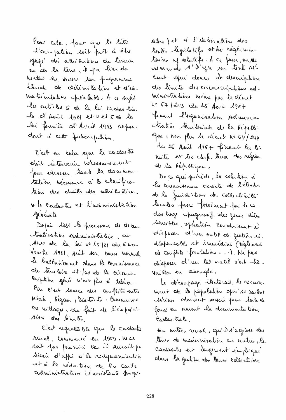Pour cela, pour que le titre d'accupation doit prêt à être Jage des attrientions du terrain ou de la têne, il pa lieu de hiettie en veurse in programme éterrali de délimitation et d'in. maticulation préalable. A ce sujet les articles 6 de la la cadra lio. le d'Août 1981 et vet ce la lei foucièr al'Avril 1983 repondent à cette préscar pation.

C'est en cela que le cadastre Obit intervenir nécessairement Jour chesser toute la documentation hécessaire à la clarification des chaits des attributaires. It le cadarte et l'administration spérévale

Depuis 1981 les processus de décemhabisation administrative, au Aeres de la loi nº 45/81 du 6 No. Vembe 1981, suit son cours normal, le balbatiement stans la counaissance du territoire et par de la circons. cription serie n'est plus à tolerer. Car e'est source des conflits entre Etak, Région, Districts, Communes Ou villages, du fait de l'enpoici-Sion des limites.

C'est regrettà ble que le cadastre rural, commancé en 1959, here soit pas poursuivi car il surrait pu servir d'affrir à la redepression très cet à la rédaction de la conte administrative (inexistante Jusqu.

alors ) et a l'elaboration des tentes législatifs et su règlementaires y relatifs. A ce four, en se cent qui donne la description des limites des circouscriptions administratives même pas le dénet no 67/243 du 25 Aous 2007 finant l'organisation solminis trative territoriale de la Républi-Que i non plus le décret n° 67/244 du 25 Août 1967 finant les les mites et les chefs. lieux des régions de la République.

De ce qui précède, la solution à la comunissance exacté de l'élevelur de le juridiction des collectivités locales passe forcement pour le cades trage progressif des zones déles sensibles, opération condinsement à désposer d'un outé de gestion ri. déspensable et immédiat (règlement ob complète frantaliers...). Ne pas disposer d'un tél outil c'est très Vailler en aveugle.

Le obtenpage électrice, le receuxment de la population qui se varlent Alrian Obsivent avoir pour toile de fond en amont la documentation Cachas-trale.

Eu milieu rural, qu'il s'agrisse des tenes de medernisation au autres, le Castavitre est largement impliqué dans la gestión des tênes collectives.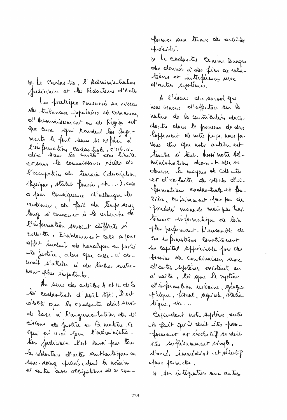V. Le Caolastre, l'Administration Judiciain et les Rédacteurs d'Acts

La pratique consacrée au mireau obs tribunaux populaires de Commun, of Arrondisument on de Region est que crun repai rendent les jugements le fant sans se reférer à l'enformation cadastrale, c'est à et sans le connaissance réelle de l'occupation du terrain Cdescription physique, statut foncéer, etc...). cala à pur Conseignence d'allonger les audiences, alu fait du temps assez long si consacrer à la vehiche de l'information souvent difficile soi collecter. Exidement cala a pour effet induit de paralyser en partie le justice, alors que celle-c'alevouit s'atteler à des tâches sautrement plus importants.

An seus des articles 4 et 12 de la la cadastiale d'Asûl 1981, l'est cetebre que le cadastre doit servir de base à l'argumentation des det cisions de Justice en la matière. Ci Qui est vous four l'administre. tion Judiciaire l'est aussi pour tous les rédocteurs d'actes southertiques au sous-seing prives dant to notains et autres avec obligations de se conformer soun termes des articles précités.

It be condentie Comme Banque des donnés à des fins de relations et interférences avec d'autres systèmes.

A l'éssure du survol que hous venous d'effectuer sur la hature de la contriention du Codastre stans le processus de deve loppement de notre parps, nous pou-Vous clie que note action est touche à tout. Aussi notre Administration devra-t-elle se obuver be moyens de collecter et d'exploiter des stocks d'informations carolas-trale-et for-Cière, certainement pas par de procedes manuels mais par traitement informatique de bin Hus Kerformant. L'ensemble de Ces informations constituent In capital seppréciable four des besoins sk Combinarson surce I autre systèmes existents ou à noître, til que le système Maiformation restaine. Azlagaphique, fircal, agnicole, statis-Ague, etc...

Cefeudant with Systeme, suite le fait qu'il doit être petteformant et évolutif se doit être suffisamment single, d'acces immédiat et sélectif Jour permettre; If son integration aux autres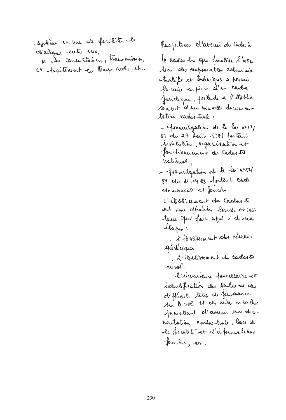Aptèrie en vue de facilité le dialogue entre un, so ita consultation, transmission et traitement en temp neer , etc...

le cades tu qui focalise l'atter tion des responsables adminis. hatifs et tochniques a permis la nuise en place cl'un cashe Juridique, prélude a l'établis Aement d'un nouvelle documentation cadas trale.  $\sim$  fromulgation de la loi a. 27/  $81$  du 27 Avril 1981 fortant institution. organisation et fouch'ouncement du Cadastre  $\mu$ ational,  $-$  fromulgation de la la "cesse)  $83$  du d.  $\cdot\cdot\cdot$  .  $83$  fortant ceal domanial et foncier L'ile blissement du Caobas-bi ert une opération lourde et conteuse open fait affel à divers etapes:  $\ell'$  it blissement also reseanne Siodísiques . d'ilgressement du cadastre  $A$ u $\varphi$ l . l'inventaire facellaire et wount fration des thulaines des diffecut titres de privance Am le rol et des mises en valeur functiont of assesin un docimentation corders trale, lase de + biscalite et d'informations foncières, etc...

Pusfectives d'avenir du Gadastre